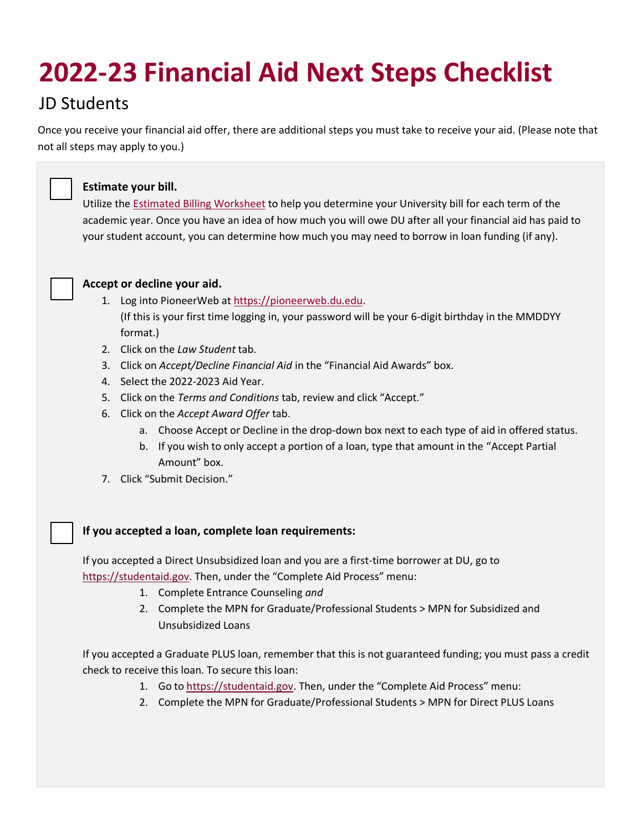# **2022-23 Financial Aid Next Steps Checklist**

## JD Students

Once you receive your financial aid offer, there are additional steps you must take to receive your aid. (Please note that not all steps may apply to you.)



### **Estimate your bill.**

Utilize the [Estimated Billing Worksheet](https://www.du.edu/admission-aid/financial-aid-scholarships/graduate-financial-aid/cost-attendance/estimate-your-bill) to help you determine your University bill for each term of the academic year. Once you have an idea of how much you will owe DU after all your financial aid has paid to your student account, you can determine how much you may need to borrow in loan funding (if any).



#### **Accept or decline your aid.**

- 1. Log into PioneerWeb a[t https://pioneerweb.du.edu.](https://pioneerweb.du.edu/) (If this is your first time logging in, your password will be your 6-digit birthday in the MMDDYY format.)
- 2. Click on the *Law Student* tab.
- 3. Click on *Accept/Decline Financial Aid* in the "Financial Aid Awards" box.
- 4. Select the 2022-2023 Aid Year.
- 5. Click on the *Terms and Conditions* tab, review and click "Accept."
- 6. Click on the *Accept Award Offer* tab.
	- a. Choose Accept or Decline in the drop-down box next to each type of aid in offered status.
	- b. If you wish to only accept a portion of a loan, type that amount in the "Accept Partial Amount" box.
- 7. Click "Submit Decision."

### **If you accepted a loan, complete loan requirements:**

If you accepted a Direct Unsubsidized loan and you are a first-time borrower at DU, go to [https://studentaid.gov](https://studentaid.gov/). Then, under the "Complete Aid Process" menu:

- 1. Complete Entrance Counseling *and*
- 2. Complete the MPN for Graduate/Professional Students > MPN for Subsidized and Unsubsidized Loans

If you accepted a Graduate PLUS loan, remember that this is not guaranteed funding; you must pass a credit check to receive this loan. To secure this loan:

- 1. Go to [https://studentaid.gov](https://studentaid.gov/). Then, under the "Complete Aid Process" menu:
- 2. Complete the MPN for Graduate/Professional Students > MPN for Direct PLUS Loans